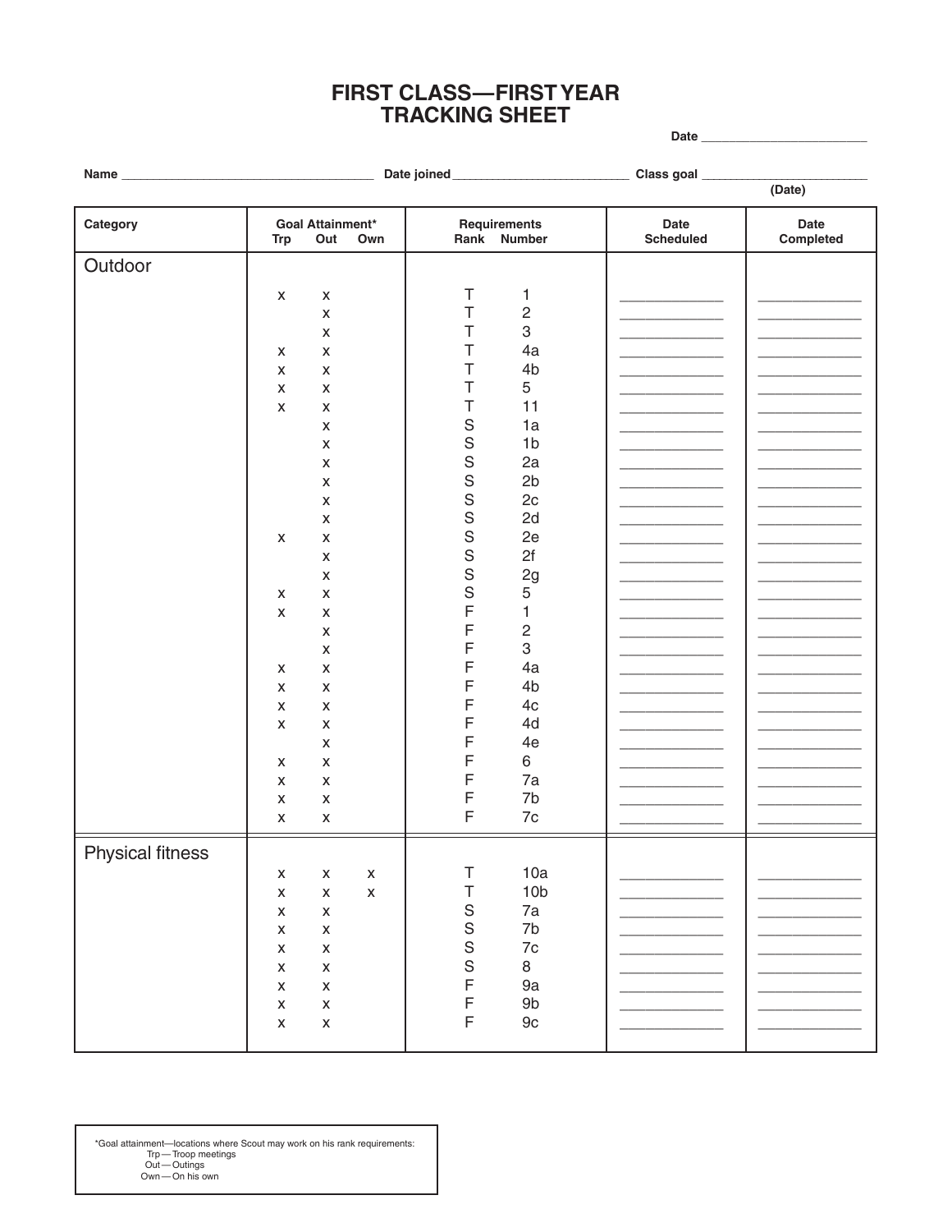## **FIRST CLASS-FIRST YEAR TRACKING SHEET**

Date

| Name $_{-}$             |                    |                                |                    |             |                             |                          |                   |
|-------------------------|--------------------|--------------------------------|--------------------|-------------|-----------------------------|--------------------------|-------------------|
|                         |                    |                                |                    |             |                             |                          | (Date)            |
| Category                | <b>Trp</b>         | <b>Goal Attainment*</b><br>Out | Own                |             | Requirements<br>Rank Number | Date<br><b>Scheduled</b> | Date<br>Completed |
| Outdoor                 |                    |                                |                    |             |                             |                          |                   |
|                         |                    |                                |                    |             |                             |                          |                   |
|                         | X                  | X                              |                    | T           | 1                           |                          |                   |
|                         |                    | $\pmb{\mathsf{X}}$             |                    | Τ           | $\sqrt{2}$                  |                          |                   |
|                         |                    | X                              |                    | Т           | 3                           |                          |                   |
|                         | X                  | X                              |                    | Τ           | 4a                          |                          |                   |
|                         | X                  | X                              |                    | T           | 4b                          |                          |                   |
|                         | X                  | X                              |                    | T           | 5                           |                          |                   |
|                         | X                  | X                              |                    | Τ           | 11                          |                          |                   |
|                         |                    | X                              |                    | S           | 1a                          |                          |                   |
|                         |                    | X                              |                    | $\mathbf S$ | 1 <sub>b</sub>              |                          |                   |
|                         |                    | X                              |                    | $\mathbf S$ | 2a                          |                          |                   |
|                         |                    | X                              |                    | $\mathbf S$ | 2 <sub>b</sub>              |                          |                   |
|                         |                    | X                              |                    | $\mathbf S$ | 2c                          |                          |                   |
|                         |                    | X                              |                    | $\mathbf S$ | 2d                          |                          |                   |
|                         | X                  | X                              |                    | $\mathbf S$ | 2e                          |                          |                   |
|                         |                    | X                              |                    | $\mathbf S$ | 2f                          |                          |                   |
|                         |                    | X                              |                    | $\mathbf S$ | 2g                          |                          |                   |
|                         |                    |                                |                    | S           | 5                           |                          |                   |
|                         | X                  | X                              |                    | F           |                             |                          |                   |
|                         | $\pmb{\mathsf{X}}$ | X                              |                    |             | 1                           |                          |                   |
|                         |                    | X                              |                    | F           | $\sqrt{2}$                  |                          |                   |
|                         |                    | X                              |                    | F           | 3                           |                          |                   |
|                         | X                  | X                              |                    | F           | 4a                          |                          |                   |
|                         | X                  | X                              |                    | F           | 4b                          |                          |                   |
|                         | X                  | X                              |                    | F           | 4c                          |                          |                   |
|                         | X                  | X                              |                    | F           | 4d                          |                          |                   |
|                         |                    | X                              |                    | F           | 4e                          |                          |                   |
|                         | X                  | X                              |                    | F           | 6                           |                          |                   |
|                         | X                  | X                              |                    | F           | 7a                          |                          |                   |
|                         | X                  | X                              |                    | F           | 7b                          |                          |                   |
|                         | X                  | $\pmb{\mathsf{x}}$             |                    | $\mathsf F$ | $7\mathrm{c}$               |                          |                   |
|                         |                    |                                |                    |             |                             |                          |                   |
| <b>Physical fitness</b> |                    |                                |                    |             |                             |                          |                   |
|                         | X                  | $\pmb{\mathsf{X}}$             | $\pmb{\mathsf{X}}$ | Τ           | 10a                         |                          |                   |
|                         | X                  | $\pmb{\times}$                 | $\mathsf X$        | Τ           | 10 <sub>b</sub>             |                          |                   |
|                         | X                  | $\pmb{\times}$                 |                    | $\mathsf S$ | 7a                          |                          |                   |
|                         | X                  | $\pmb{\mathsf{x}}$             |                    | $\mathbf S$ | 7b                          |                          |                   |
|                         | X                  | $\pmb{\mathsf{x}}$             |                    | $\mathbf S$ | $7\mathrm{c}$               |                          |                   |
|                         | X                  | $\mathsf X$                    |                    | $\mathbf S$ | 8                           |                          |                   |
|                         | X                  | $\mathsf X$                    |                    | F           | 9a                          |                          |                   |
|                         | X                  |                                |                    | F           | $9b$                        |                          |                   |
|                         |                    | $\pmb{\mathsf{x}}$             |                    | F           |                             |                          |                   |
|                         | $\pmb{\mathsf{X}}$ | $\mathsf X$                    |                    |             | $9\mathrm{c}$               |                          |                   |
|                         |                    |                                |                    |             |                             |                          |                   |